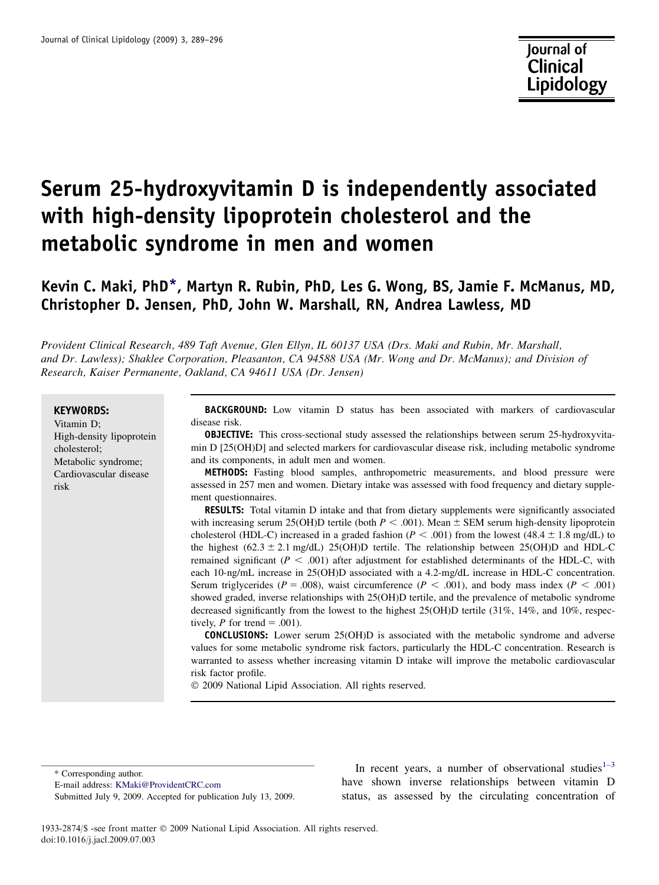# Serum 25-hydroxyvitamin D is independently associated with high-density lipoprotein cholesterol and the metabolic syndrome in men and women

# Kevin C. Maki, PhD\*, Martyn R. Rubin, PhD, Les G. Wong, BS, Jamie F. McManus, MD, Christopher D. Jensen, PhD, John W. Marshall, RN, Andrea Lawless, MD

Provident Clinical Research, 489 Taft Avenue, Glen Ellyn, IL 60137 USA (Drs. Maki and Rubin, Mr. Marshall, and Dr. Lawless); Shaklee Corporation, Pleasanton, CA 94588 USA (Mr. Wong and Dr. McManus); and Division of Research, Kaiser Permanente, Oakland, CA 94611 USA (Dr. Jensen)

#### KEYWORDS:

Vitamin D; High-density lipoprotein cholesterol; Metabolic syndrome; Cardiovascular disease risk

BACKGROUND: Low vitamin D status has been associated with markers of cardiovascular disease risk.

OBJECTIVE: This cross-sectional study assessed the relationships between serum 25-hydroxyvitamin D [25(OH)D] and selected markers for cardiovascular disease risk, including metabolic syndrome and its components, in adult men and women.

METHODS: Fasting blood samples, anthropometric measurements, and blood pressure were assessed in 257 men and women. Dietary intake was assessed with food frequency and dietary supplement questionnaires.

RESULTS: Total vitamin D intake and that from dietary supplements were significantly associated with increasing serum 25(OH)D tertile (both  $P < .001$ ). Mean  $\pm$  SEM serum high-density lipoprotein cholesterol (HDL-C) increased in a graded fashion ( $P < .001$ ) from the lowest (48.4  $\pm$  1.8 mg/dL) to the highest  $(62.3 \pm 2.1 \text{ mg/dL})$  25(OH)D tertile. The relationship between 25(OH)D and HDL-C remained significant ( $P < .001$ ) after adjustment for established determinants of the HDL-C, with each 10-ng/mL increase in 25(OH)D associated with a 4.2-mg/dL increase in HDL-C concentration. Serum triglycerides ( $P = .008$ ), waist circumference ( $P < .001$ ), and body mass index ( $P < .001$ ) showed graded, inverse relationships with 25(OH)D tertile, and the prevalence of metabolic syndrome decreased significantly from the lowest to the highest 25(OH)D tertile (31%, 14%, and 10%, respectively, P for trend  $= .001$ ).

CONCLUSIONS: Lower serum 25(OH)D is associated with the metabolic syndrome and adverse values for some metabolic syndrome risk factors, particularly the HDL-C concentration. Research is warranted to assess whether increasing vitamin D intake will improve the metabolic cardiovascular risk factor profile.

 $©$  2009 National Lipid Association. All rights reserved.

\* Corresponding author.

E-mail address: [KMaki@ProvidentCRC.com](mailto:KMaki@ProvidentCRC.com)

Submitted July 9, 2009. Accepted for publication July 13, 2009.

In recent years, a number of observational studies $1-3$ have shown inverse relationships between vitamin D status, as assessed by the circulating concentration of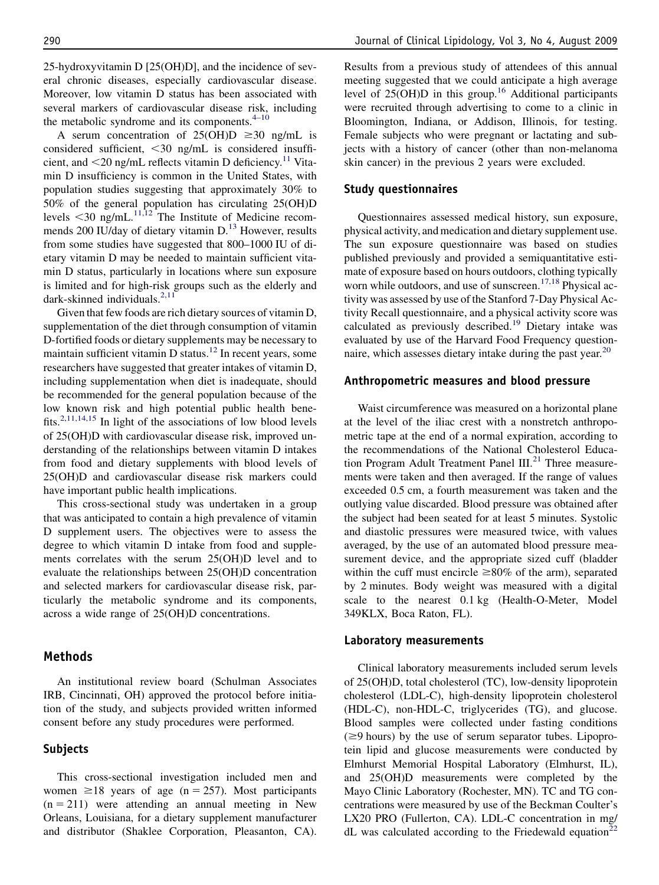25-hydroxyvitamin D [25(OH)D], and the incidence of several chronic diseases, especially cardiovascular disease. Moreover, low vitamin D status has been associated with several markers of cardiovascular disease risk, including the metabolic syndrome and its components. $4-10$ 

A serum concentration of  $25(OH)D \ge 30$  ng/mL is considered sufficient,  $\leq$ 30 ng/mL is considered insufficient, and  $\leq$ 20 ng/mL reflects vitamin D deficiency.<sup>[11](#page-6-0)</sup> Vitamin D insufficiency is common in the United States, with population studies suggesting that approximately 30% to 50% of the general population has circulating 25(OH)D levels  $\leq$ 30 ng/mL.<sup>[11,12](#page-6-0)</sup> The Institute of Medicine recom-mends 200 IU/day of dietary vitamin D.<sup>[13](#page-6-0)</sup> However, results from some studies have suggested that 800–1000 IU of dietary vitamin D may be needed to maintain sufficient vitamin D status, particularly in locations where sun exposure is limited and for high-risk groups such as the elderly and dark-skinned individuals.<sup>[2,11](#page-6-0)</sup>

Given that few foods are rich dietary sources of vitamin D, supplementation of the diet through consumption of vitamin D-fortified foods or dietary supplements may be necessary to maintain sufficient vitamin D status.<sup>[12](#page-6-0)</sup> In recent years, some researchers have suggested that greater intakes of vitamin D, including supplementation when diet is inadequate, should be recommended for the general population because of the low known risk and high potential public health bene-fits.<sup>[2,11,14,15](#page-6-0)</sup> In light of the associations of low blood levels of 25(OH)D with cardiovascular disease risk, improved understanding of the relationships between vitamin D intakes from food and dietary supplements with blood levels of 25(OH)D and cardiovascular disease risk markers could have important public health implications.

This cross-sectional study was undertaken in a group that was anticipated to contain a high prevalence of vitamin D supplement users. The objectives were to assess the degree to which vitamin D intake from food and supplements correlates with the serum 25(OH)D level and to evaluate the relationships between 25(OH)D concentration and selected markers for cardiovascular disease risk, particularly the metabolic syndrome and its components, across a wide range of 25(OH)D concentrations.

# Methods

An institutional review board (Schulman Associates IRB, Cincinnati, OH) approved the protocol before initiation of the study, and subjects provided written informed consent before any study procedures were performed.

# Subjects

This cross-sectional investigation included men and women  $\geq 18$  years of age (n = 257). Most participants  $(n = 211)$  were attending an annual meeting in New Orleans, Louisiana, for a dietary supplement manufacturer and distributor (Shaklee Corporation, Pleasanton, CA). Results from a previous study of attendees of this annual meeting suggested that we could anticipate a high average level of  $25(OH)D$  in this group.<sup>[16](#page-6-0)</sup> Additional participants were recruited through advertising to come to a clinic in Bloomington, Indiana, or Addison, Illinois, for testing. Female subjects who were pregnant or lactating and subjects with a history of cancer (other than non-melanoma skin cancer) in the previous 2 years were excluded.

# Study questionnaires

Questionnaires assessed medical history, sun exposure, physical activity, and medication and dietary supplement use. The sun exposure questionnaire was based on studies published previously and provided a semiquantitative estimate of exposure based on hours outdoors, clothing typically worn while outdoors, and use of sunscreen.<sup>[17,18](#page-6-0)</sup> Physical activity was assessed by use of the Stanford 7-Day Physical Activity Recall questionnaire, and a physical activity score was calculated as previously described.<sup>[19](#page-6-0)</sup> Dietary intake was evaluated by use of the Harvard Food Frequency questionnaire, which assesses dietary intake during the past year.  $20$ 

# Anthropometric measures and blood pressure

Waist circumference was measured on a horizontal plane at the level of the iliac crest with a nonstretch anthropometric tape at the end of a normal expiration, according to the recommendations of the National Cholesterol Education Program Adult Treatment Panel  $III.^{21}$  $III.^{21}$  $III.^{21}$  Three measurements were taken and then averaged. If the range of values exceeded 0.5 cm, a fourth measurement was taken and the outlying value discarded. Blood pressure was obtained after the subject had been seated for at least 5 minutes. Systolic and diastolic pressures were measured twice, with values averaged, by the use of an automated blood pressure measurement device, and the appropriate sized cuff (bladder within the cuff must encircle  $\geq 80\%$  of the arm), separated by 2 minutes. Body weight was measured with a digital scale to the nearest 0.1 kg (Health-O-Meter, Model 349KLX, Boca Raton, FL).

## Laboratory measurements

Clinical laboratory measurements included serum levels of 25(OH)D, total cholesterol (TC), low-density lipoprotein cholesterol (LDL-C), high-density lipoprotein cholesterol (HDL-C), non-HDL-C, triglycerides (TG), and glucose. Blood samples were collected under fasting conditions  $(\geq 9$  hours) by the use of serum separator tubes. Lipoprotein lipid and glucose measurements were conducted by Elmhurst Memorial Hospital Laboratory (Elmhurst, IL), and 25(OH)D measurements were completed by the Mayo Clinic Laboratory (Rochester, MN). TC and TG concentrations were measured by use of the Beckman Coulter's LX20 PRO (Fullerton, CA). LDL-C concentration in mg/ dL was calculated according to the Friedewald equation<sup>2</sup>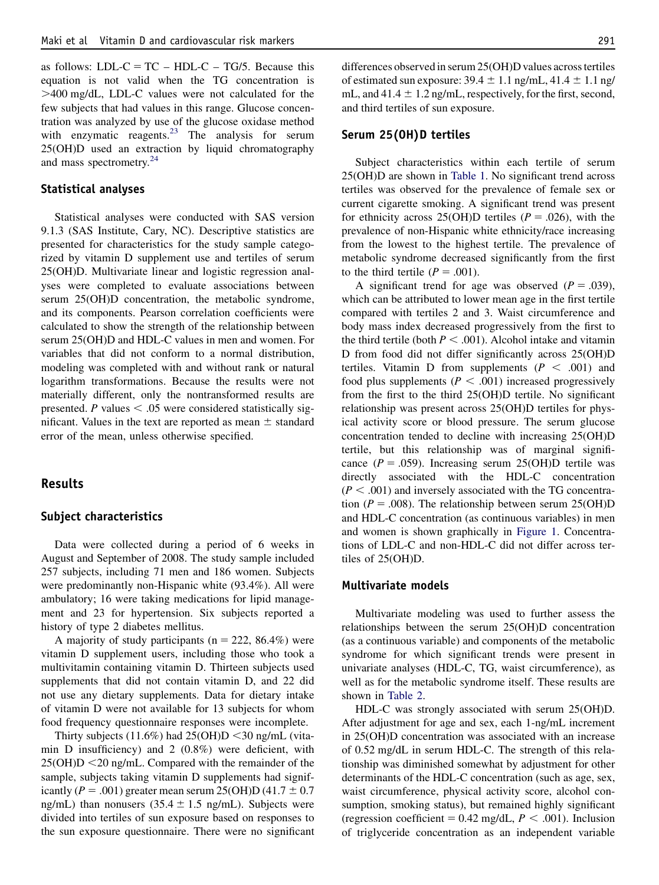as follows: LDL-C = TC – HDL-C – TG/5. Because this equation is not valid when the TG concentration is .400 mg/dL, LDL-C values were not calculated for the few subjects that had values in this range. Glucose concentration was analyzed by use of the glucose oxidase method with enzymatic reagents. $^{23}$  The analysis for serum 25(OH)D used an extraction by liquid chromatography and mass spectrometry.<sup>[24](#page-6-0)</sup>

#### Statistical analyses

Statistical analyses were conducted with SAS version 9.1.3 (SAS Institute, Cary, NC). Descriptive statistics are presented for characteristics for the study sample categorized by vitamin D supplement use and tertiles of serum 25(OH)D. Multivariate linear and logistic regression analyses were completed to evaluate associations between serum 25(OH)D concentration, the metabolic syndrome, and its components. Pearson correlation coefficients were calculated to show the strength of the relationship between serum 25(OH)D and HDL-C values in men and women. For variables that did not conform to a normal distribution, modeling was completed with and without rank or natural logarithm transformations. Because the results were not materially different, only the nontransformed results are presented. P values  $< .05$  were considered statistically significant. Values in the text are reported as mean  $\pm$  standard error of the mean, unless otherwise specified.

# Results

#### Subject characteristics

Data were collected during a period of 6 weeks in August and September of 2008. The study sample included 257 subjects, including 71 men and 186 women. Subjects were predominantly non-Hispanic white (93.4%). All were ambulatory; 16 were taking medications for lipid management and 23 for hypertension. Six subjects reported a history of type 2 diabetes mellitus.

A majority of study participants ( $n = 222, 86.4\%$ ) were vitamin D supplement users, including those who took a multivitamin containing vitamin D. Thirteen subjects used supplements that did not contain vitamin D, and 22 did not use any dietary supplements. Data for dietary intake of vitamin D were not available for 13 subjects for whom food frequency questionnaire responses were incomplete.

Thirty subjects (11.6%) had  $25(OH)D < 30$  ng/mL (vitamin D insufficiency) and 2 (0.8%) were deficient, with  $25(OH)D < 20$  ng/mL. Compared with the remainder of the sample, subjects taking vitamin D supplements had significantly ( $P = .001$ ) greater mean serum 25(OH)D (41.7  $\pm$  0.7 ng/mL) than nonusers  $(35.4 \pm 1.5 \text{ ng/mL})$ . Subjects were divided into tertiles of sun exposure based on responses to the sun exposure questionnaire. There were no significant

differences observed in serum 25(OH)D values across tertiles of estimated sun exposure:  $39.4 \pm 1.1$  ng/mL,  $41.4 \pm 1.1$  ng/ mL, and  $41.4 \pm 1.2$  ng/mL, respectively, for the first, second, and third tertiles of sun exposure.

#### Serum 25(OH)D tertiles

Subject characteristics within each tertile of serum 25(OH)D are shown in [Table 1.](#page-3-0) No significant trend across tertiles was observed for the prevalence of female sex or current cigarette smoking. A significant trend was present for ethnicity across 25(OH)D tertiles ( $P = .026$ ), with the prevalence of non-Hispanic white ethnicity/race increasing from the lowest to the highest tertile. The prevalence of metabolic syndrome decreased significantly from the first to the third tertile  $(P = .001)$ .

A significant trend for age was observed  $(P = .039)$ , which can be attributed to lower mean age in the first tertile compared with tertiles 2 and 3. Waist circumference and body mass index decreased progressively from the first to the third tertile (both  $P < .001$ ). Alcohol intake and vitamin D from food did not differ significantly across 25(OH)D tertiles. Vitamin D from supplements  $(P < .001)$  and food plus supplements ( $P < .001$ ) increased progressively from the first to the third 25(OH)D tertile. No significant relationship was present across 25(OH)D tertiles for physical activity score or blood pressure. The serum glucose concentration tended to decline with increasing 25(OH)D tertile, but this relationship was of marginal significance ( $P = .059$ ). Increasing serum 25(OH)D tertile was directly associated with the HDL-C concentration  $(P < .001)$  and inversely associated with the TG concentration ( $P = .008$ ). The relationship between serum 25(OH)D and HDL-C concentration (as continuous variables) in men and women is shown graphically in [Figure 1.](#page-4-0) Concentrations of LDL-C and non-HDL-C did not differ across tertiles of 25(OH)D.

## Multivariate models

Multivariate modeling was used to further assess the relationships between the serum 25(OH)D concentration (as a continuous variable) and components of the metabolic syndrome for which significant trends were present in univariate analyses (HDL-C, TG, waist circumference), as well as for the metabolic syndrome itself. These results are shown in [Table 2.](#page-5-0)

HDL-C was strongly associated with serum 25(OH)D. After adjustment for age and sex, each 1-ng/mL increment in 25(OH)D concentration was associated with an increase of 0.52 mg/dL in serum HDL-C. The strength of this relationship was diminished somewhat by adjustment for other determinants of the HDL-C concentration (such as age, sex, waist circumference, physical activity score, alcohol consumption, smoking status), but remained highly significant (regression coefficient =  $0.42$  mg/dL,  $P < .001$ ). Inclusion of triglyceride concentration as an independent variable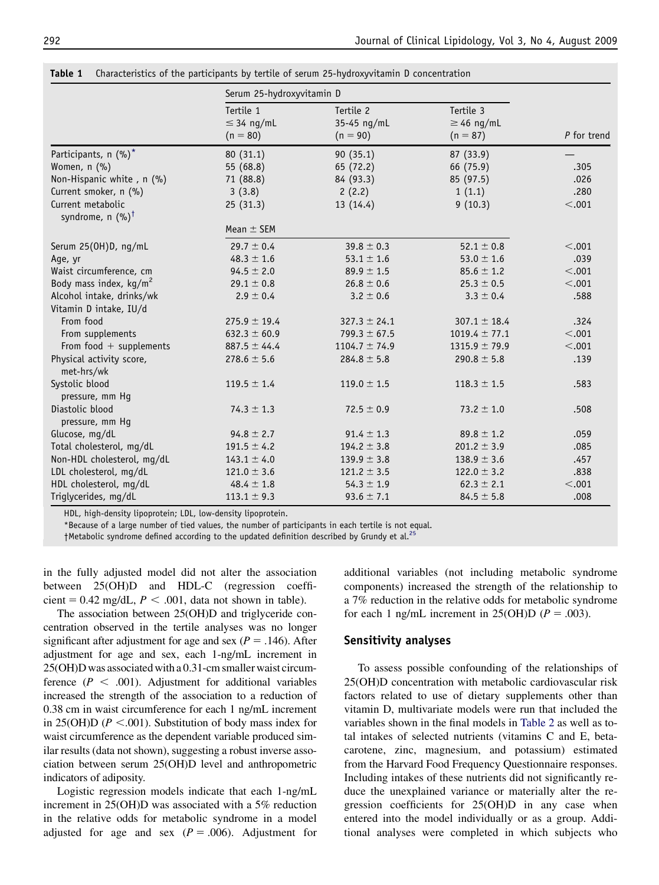|                                                  | Serum 25-hydroxyvitamin D                  |                                        |                                            |             |
|--------------------------------------------------|--------------------------------------------|----------------------------------------|--------------------------------------------|-------------|
|                                                  | Tertile 1<br>$\leq$ 34 ng/mL<br>$(n = 80)$ | Tertile 2<br>35-45 ng/mL<br>$(n = 90)$ | Tertile 3<br>$\geq$ 46 ng/mL<br>$(n = 87)$ | P for trend |
| Participants, n (%)*                             | 80 (31.1)                                  | 90 (35.1)                              | 87 (33.9)                                  |             |
| Women, n (%)                                     | 55 (68.8)                                  | 65 (72.2)                              | 66 (75.9)                                  | .305        |
| Non-Hispanic white, n (%)                        | 71 (88.8)                                  | 84 (93.3)                              | 85 (97.5)                                  | .026        |
| Current smoker, n (%)                            | 3(3.8)                                     | 2(2.2)                                 | 1(1.1)                                     | .280        |
| Current metabolic<br>syndrome, n $(%)^{\dagger}$ | 25(31.3)                                   | 13 (14.4)                              | 9(10.3)                                    | < .001      |
|                                                  | Mean $\pm$ SEM                             |                                        |                                            |             |
| Serum 25(OH)D, ng/mL                             | $29.7 \pm 0.4$                             | $39.8 \pm 0.3$                         | $52.1 \pm 0.8$                             | < .001      |
| Age, yr                                          | $48.3 \pm 1.6$                             | $53.1 \pm 1.6$                         | 53.0 $\pm$ 1.6                             | .039        |
| Waist circumference, cm                          | $94.5 \pm 2.0$                             | $89.9 \pm 1.5$                         | $85.6 \pm 1.2$                             | < .001      |
| Body mass index, $kg/m2$                         | $29.1 \pm 0.8$                             | $26.8 \pm 0.6$                         | $25.3 \pm 0.5$                             | < .001      |
| Alcohol intake, drinks/wk                        | $2.9 \pm 0.4$                              | $3.2 \pm 0.6$                          | $3.3 \pm 0.4$                              | .588        |
| Vitamin D intake, IU/d                           |                                            |                                        |                                            |             |
| From food                                        | $275.9 \pm 19.4$                           | $327.3 \pm 24.1$                       | $307.1 \pm 18.4$                           | .324        |
| From supplements                                 | $632.3 \pm 60.9$                           | $799.3 \pm 67.5$                       | $1019.4 \pm 77.1$                          | < .001      |
| From food $+$ supplements                        | $887.5 \pm 44.4$                           | $1104.7 \pm 74.9$                      | $1315.9 \pm 79.9$                          | < .001      |
| Physical activity score,<br>met-hrs/wk           | $278.6 \pm 5.6$                            | $284.8 \pm 5.8$                        | 290.8 $\pm$ 5.8                            | .139        |
| Systolic blood<br>pressure, mm Hq                | $119.5 \pm 1.4$                            | $119.0 \pm 1.5$                        | $118.3 \pm 1.5$                            | .583        |
| Diastolic blood<br>pressure, mm Hq               | $74.3 \pm 1.3$                             | $72.5 \pm 0.9$                         | 73.2 $\pm$ 1.0                             | .508        |
| Glucose, mg/dL                                   | $94.8 \pm 2.7$                             | $91.4 \pm 1.3$                         | $89.8 \pm 1.2$                             | .059        |
| Total cholesterol, mg/dL                         | $191.5 \pm 4.2$                            | $194.2 \pm 3.8$                        | $201.2 \pm 3.9$                            | .085        |
| Non-HDL cholesterol, mg/dL                       | $143.1 \pm 4.0$                            | $139.9 \pm 3.8$                        | $138.9 \pm 3.6$                            | .457        |
| LDL cholesterol, mg/dL                           | $121.0 \pm 3.6$                            | $121.2 \pm 3.5$                        | $122.0 \pm 3.2$                            | .838        |
| HDL cholesterol, mg/dL                           | $48.4 \pm 1.8$                             | $54.3 \pm 1.9$                         | $62.3 \pm 2.1$                             | < .001      |
| Triglycerides, mg/dL                             | $113.1 \pm 9.3$                            | $93.6 \pm 7.1$                         | $84.5 \pm 5.8$                             | .008        |

<span id="page-3-0"></span>Table 1 Characteristics of the participants by tertile of serum 25-hydroxyvitamin D concentration

HDL, high-density lipoprotein; LDL, low-density lipoprotein.

\*Because of a large number of tied values, the number of participants in each tertile is not equal.

 $\dagger$ Metabolic syndrome defined according to the updated definition described by Grundy et al.<sup>2</sup>

in the fully adjusted model did not alter the association between 25(OH)D and HDL-C (regression coefficient =  $0.42$  mg/dL,  $P < .001$ , data not shown in table).

The association between 25(OH)D and triglyceride concentration observed in the tertile analyses was no longer significant after adjustment for age and sex ( $P = .146$ ). After adjustment for age and sex, each 1-ng/mL increment in 25(OH)D was associated with a 0.31-cm smaller waist circumference ( $P < .001$ ). Adjustment for additional variables increased the strength of the association to a reduction of 0.38 cm in waist circumference for each 1 ng/mL increment in 25(OH)D ( $P < .001$ ). Substitution of body mass index for waist circumference as the dependent variable produced similar results (data not shown), suggesting a robust inverse association between serum 25(OH)D level and anthropometric indicators of adiposity.

Logistic regression models indicate that each 1-ng/mL increment in 25(OH)D was associated with a 5% reduction in the relative odds for metabolic syndrome in a model adjusted for age and sex  $(P = .006)$ . Adjustment for

additional variables (not including metabolic syndrome components) increased the strength of the relationship to a 7% reduction in the relative odds for metabolic syndrome for each 1 ng/mL increment in 25(OH)D ( $P = .003$ ).

# Sensitivity analyses

To assess possible confounding of the relationships of 25(OH)D concentration with metabolic cardiovascular risk factors related to use of dietary supplements other than vitamin D, multivariate models were run that included the variables shown in the final models in [Table 2](#page-5-0) as well as total intakes of selected nutrients (vitamins C and E, betacarotene, zinc, magnesium, and potassium) estimated from the Harvard Food Frequency Questionnaire responses. Including intakes of these nutrients did not significantly reduce the unexplained variance or materially alter the regression coefficients for 25(OH)D in any case when entered into the model individually or as a group. Additional analyses were completed in which subjects who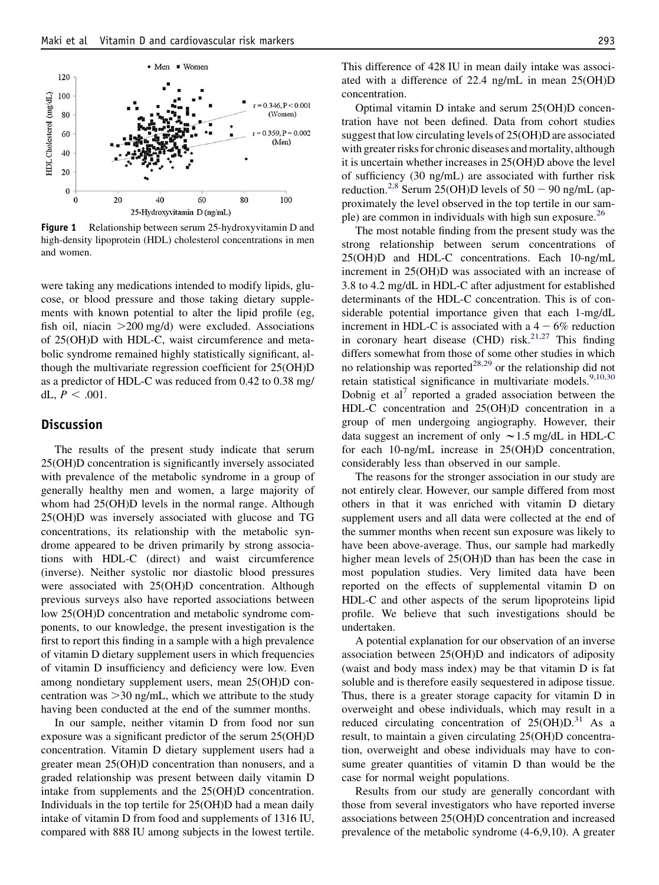<span id="page-4-0"></span>

Figure 1 Relationship between serum 25-hydroxyvitamin D and high-density lipoprotein (HDL) cholesterol concentrations in men and women.

were taking any medications intended to modify lipids, glucose, or blood pressure and those taking dietary supplements with known potential to alter the lipid profile (eg, fish oil, niacin  $>200$  mg/d) were excluded. Associations of 25(OH)D with HDL-C, waist circumference and metabolic syndrome remained highly statistically significant, although the multivariate regression coefficient for 25(OH)D as a predictor of HDL-C was reduced from 0.42 to 0.38 mg/ dL,  $P < .001$ .

# Discussion

The results of the present study indicate that serum 25(OH)D concentration is significantly inversely associated with prevalence of the metabolic syndrome in a group of generally healthy men and women, a large majority of whom had 25(OH)D levels in the normal range. Although 25(OH)D was inversely associated with glucose and TG concentrations, its relationship with the metabolic syndrome appeared to be driven primarily by strong associations with HDL-C (direct) and waist circumference (inverse). Neither systolic nor diastolic blood pressures were associated with 25(OH)D concentration. Although previous surveys also have reported associations between low 25(OH)D concentration and metabolic syndrome components, to our knowledge, the present investigation is the first to report this finding in a sample with a high prevalence of vitamin D dietary supplement users in which frequencies of vitamin D insufficiency and deficiency were low. Even among nondietary supplement users, mean 25(OH)D concentration was  $>$ 30 ng/mL, which we attribute to the study having been conducted at the end of the summer months.

In our sample, neither vitamin D from food nor sun exposure was a significant predictor of the serum 25(OH)D concentration. Vitamin D dietary supplement users had a greater mean 25(OH)D concentration than nonusers, and a graded relationship was present between daily vitamin D intake from supplements and the 25(OH)D concentration. Individuals in the top tertile for 25(OH)D had a mean daily intake of vitamin D from food and supplements of 1316 IU, compared with 888 IU among subjects in the lowest tertile. This difference of 428 IU in mean daily intake was associated with a difference of 22.4 ng/mL in mean 25(OH)D concentration.

Optimal vitamin D intake and serum 25(OH)D concentration have not been defined. Data from cohort studies suggest that low circulating levels of 25(OH)D are associated with greater risks for chronic diseases and mortality, although it is uncertain whether increases in 25(OH)D above the level of sufficiency (30 ng/mL) are associated with further risk reduction.<sup>[2,8](#page-6-0)</sup> Serum 25(OH)D levels of  $50 - 90$  ng/mL (approximately the level observed in the top tertile in our sample) are common in individuals with high sun exposure.[26](#page-7-0)

The most notable finding from the present study was the strong relationship between serum concentrations of 25(OH)D and HDL-C concentrations. Each 10-ng/mL increment in 25(OH)D was associated with an increase of 3.8 to 4.2 mg/dL in HDL-C after adjustment for established determinants of the HDL-C concentration. This is of considerable potential importance given that each 1-mg/dL increment in HDL-C is associated with a  $4 - 6\%$  reduction in coronary heart disease (CHD) risk.<sup>[21,27](#page-6-0)</sup> This finding differs somewhat from those of some other studies in which no relationship was reported<sup>[28,29](#page-7-0)</sup> or the relationship did not retain statistical significance in multivariate models.<sup>[9,10,30](#page-6-0)</sup> Dobnig et al<sup>[7](#page-6-0)</sup> reported a graded association between the HDL-C concentration and 25(OH)D concentration in a group of men undergoing angiography. However, their data suggest an increment of only  $\sim$  1.5 mg/dL in HDL-C for each 10-ng/mL increase in 25(OH)D concentration, considerably less than observed in our sample.

The reasons for the stronger association in our study are not entirely clear. However, our sample differed from most others in that it was enriched with vitamin D dietary supplement users and all data were collected at the end of the summer months when recent sun exposure was likely to have been above-average. Thus, our sample had markedly higher mean levels of 25(OH)D than has been the case in most population studies. Very limited data have been reported on the effects of supplemental vitamin D on HDL-C and other aspects of the serum lipoproteins lipid profile. We believe that such investigations should be undertaken.

A potential explanation for our observation of an inverse association between 25(OH)D and indicators of adiposity (waist and body mass index) may be that vitamin D is fat soluble and is therefore easily sequestered in adipose tissue. Thus, there is a greater storage capacity for vitamin D in overweight and obese individuals, which may result in a reduced circulating concentration of  $25(OH)D<sup>31</sup>$  $25(OH)D<sup>31</sup>$  $25(OH)D<sup>31</sup>$  As a result, to maintain a given circulating 25(OH)D concentration, overweight and obese individuals may have to consume greater quantities of vitamin D than would be the case for normal weight populations.

Results from our study are generally concordant with those from several investigators who have reported inverse associations between 25(OH)D concentration and increased prevalence of the metabolic syndrome (4-6,9,10). A greater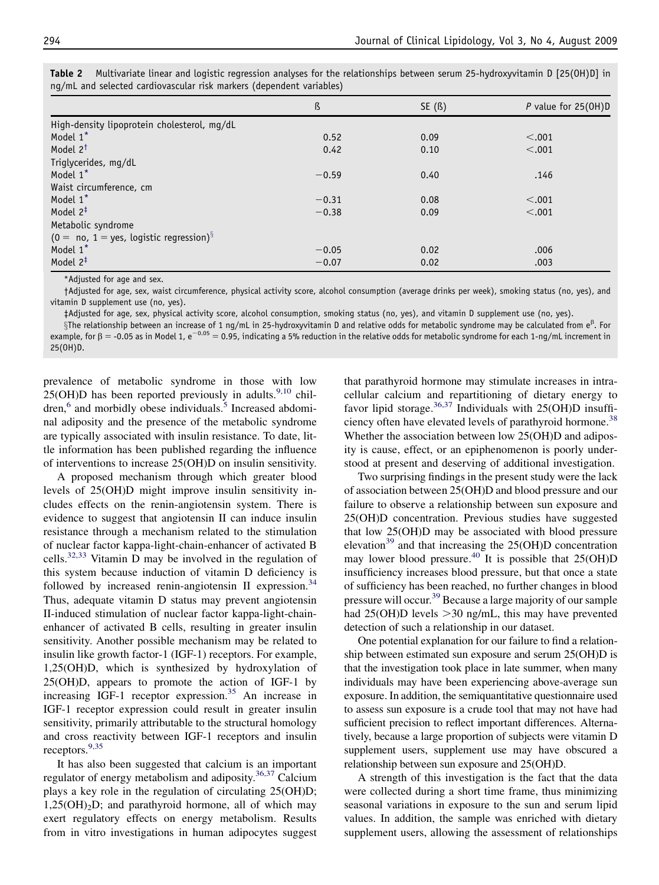|                                             | ß       | SE(S) | P value for $25(OH)D$ |
|---------------------------------------------|---------|-------|-----------------------|
| High-density lipoprotein cholesterol, mg/dL |         |       |                       |
| Model 1 <sup>*</sup>                        | 0.52    | 0.09  | < .001                |
| Model 2 <sup>t</sup>                        | 0.42    | 0.10  | < .001                |
| Triglycerides, mg/dL                        |         |       |                       |
| Model 1*                                    | $-0.59$ | 0.40  | .146                  |
| Waist circumference, cm                     |         |       |                       |
| Model 1 <sup>*</sup>                        | $-0.31$ | 0.08  | < .001                |
| Model $2^{\ddagger}$                        | $-0.38$ | 0.09  | < .001                |
| Metabolic syndrome                          |         |       |                       |
| $(0 = no, 1 = yes, logistic regression)^8$  |         |       |                       |
| Model 1*                                    | $-0.05$ | 0.02  | .006                  |
| Model 2 <sup>‡</sup>                        | $-0.07$ | 0.02  | .003                  |

<span id="page-5-0"></span>Table 2 Multivariate linear and logistic regression analyses for the relationships between serum 25-hydroxyvitamin D [25(OH)D] in ng/mL and selected cardiovascular risk markers (dependent variables)

\*Adjusted for age and sex.

†Adjusted for age, sex, waist circumference, physical activity score, alcohol consumption (average drinks per week), smoking status (no, yes), and vitamin D supplement use (no, yes).

‡Adjusted for age, sex, physical activity score, alcohol consumption, smoking status (no, yes), and vitamin D supplement use (no, yes).

 $§$ The relationship between an increase of 1 ng/mL in 25-hydroxyvitamin D and relative odds for metabolic syndrome may be calculated from e<sup>β</sup>. For example, for β = -0.05 as in Model 1, e<sup>-0.05</sup> = 0.95, indicating a 5% r 25(OH)D.

prevalence of metabolic syndrome in those with low  $25(OH)D$  has been reported previously in adults.<sup>[9,10](#page-6-0)</sup> chil-dren,<sup>[6](#page-6-0)</sup> and morbidly obese individuals.<sup>[5](#page-6-0)</sup> Increased abdominal adiposity and the presence of the metabolic syndrome are typically associated with insulin resistance. To date, little information has been published regarding the influence of interventions to increase 25(OH)D on insulin sensitivity.

A proposed mechanism through which greater blood levels of 25(OH)D might improve insulin sensitivity includes effects on the renin-angiotensin system. There is evidence to suggest that angiotensin II can induce insulin resistance through a mechanism related to the stimulation of nuclear factor kappa-light-chain-enhancer of activated B cells. $32,33$  Vitamin D may be involved in the regulation of this system because induction of vitamin D deficiency is followed by increased renin-angiotensin II expression.<sup>[34](#page-7-0)</sup> Thus, adequate vitamin D status may prevent angiotensin II-induced stimulation of nuclear factor kappa-light-chainenhancer of activated B cells, resulting in greater insulin sensitivity. Another possible mechanism may be related to insulin like growth factor-1 (IGF-1) receptors. For example, 1,25(OH)D, which is synthesized by hydroxylation of 25(OH)D, appears to promote the action of IGF-1 by increasing IGF-1 receptor expression.<sup>[35](#page-7-0)</sup> An increase in IGF-1 receptor expression could result in greater insulin sensitivity, primarily attributable to the structural homology and cross reactivity between IGF-1 receptors and insulin receptors.<sup>[9,35](#page-6-0)</sup>

It has also been suggested that calcium is an important regulator of energy metabolism and adiposity.<sup>[36,37](#page-7-0)</sup> Calcium plays a key role in the regulation of circulating 25(OH)D;  $1,25(OH)<sub>2</sub>D$ ; and parathyroid hormone, all of which may exert regulatory effects on energy metabolism. Results from in vitro investigations in human adipocytes suggest

that parathyroid hormone may stimulate increases in intracellular calcium and repartitioning of dietary energy to favor lipid storage.<sup>[36,37](#page-7-0)</sup> Individuals with  $25(OH)D$  insuffi-ciency often have elevated levels of parathyroid hormone.<sup>[38](#page-7-0)</sup> Whether the association between low 25(OH)D and adiposity is cause, effect, or an epiphenomenon is poorly understood at present and deserving of additional investigation.

Two surprising findings in the present study were the lack of association between 25(OH)D and blood pressure and our failure to observe a relationship between sun exposure and 25(OH)D concentration. Previous studies have suggested that low 25(OH)D may be associated with blood pressure elevation<sup>[39](#page-7-0)</sup> and that increasing the  $25(OH)D$  concentration may lower blood pressure.<sup>[40](#page-7-0)</sup> It is possible that  $25(OH)D$ insufficiency increases blood pressure, but that once a state of sufficiency has been reached, no further changes in blood pressure will occur.<sup>[39](#page-7-0)</sup> Because a large majority of our sample had  $25(OH)D$  levels  $>30$  ng/mL, this may have prevented detection of such a relationship in our dataset.

One potential explanation for our failure to find a relationship between estimated sun exposure and serum 25(OH)D is that the investigation took place in late summer, when many individuals may have been experiencing above-average sun exposure. In addition, the semiquantitative questionnaire used to assess sun exposure is a crude tool that may not have had sufficient precision to reflect important differences. Alternatively, because a large proportion of subjects were vitamin D supplement users, supplement use may have obscured a relationship between sun exposure and 25(OH)D.

A strength of this investigation is the fact that the data were collected during a short time frame, thus minimizing seasonal variations in exposure to the sun and serum lipid values. In addition, the sample was enriched with dietary supplement users, allowing the assessment of relationships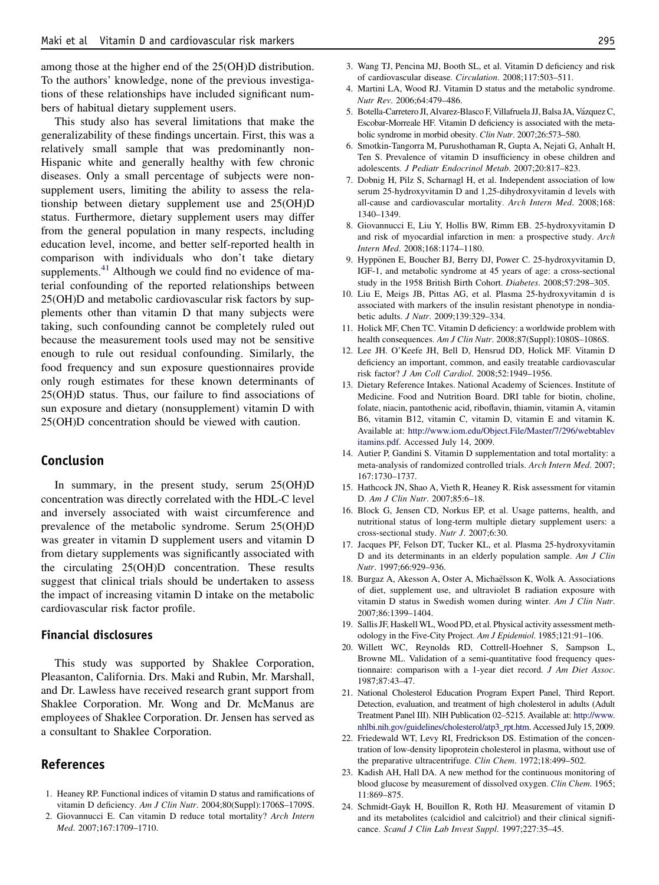<span id="page-6-0"></span>among those at the higher end of the 25(OH)D distribution. To the authors' knowledge, none of the previous investigations of these relationships have included significant numbers of habitual dietary supplement users.

This study also has several limitations that make the generalizability of these findings uncertain. First, this was a relatively small sample that was predominantly non-Hispanic white and generally healthy with few chronic diseases. Only a small percentage of subjects were nonsupplement users, limiting the ability to assess the relationship between dietary supplement use and 25(OH)D status. Furthermore, dietary supplement users may differ from the general population in many respects, including education level, income, and better self-reported health in comparison with individuals who don't take dietary supplements.<sup>[41](#page-7-0)</sup> Although we could find no evidence of material confounding of the reported relationships between 25(OH)D and metabolic cardiovascular risk factors by supplements other than vitamin D that many subjects were taking, such confounding cannot be completely ruled out because the measurement tools used may not be sensitive enough to rule out residual confounding. Similarly, the food frequency and sun exposure questionnaires provide only rough estimates for these known determinants of 25(OH)D status. Thus, our failure to find associations of sun exposure and dietary (nonsupplement) vitamin D with 25(OH)D concentration should be viewed with caution.

# Conclusion

In summary, in the present study, serum 25(OH)D concentration was directly correlated with the HDL-C level and inversely associated with waist circumference and prevalence of the metabolic syndrome. Serum 25(OH)D was greater in vitamin D supplement users and vitamin D from dietary supplements was significantly associated with the circulating 25(OH)D concentration. These results suggest that clinical trials should be undertaken to assess the impact of increasing vitamin D intake on the metabolic cardiovascular risk factor profile.

## Financial disclosures

This study was supported by Shaklee Corporation, Pleasanton, California. Drs. Maki and Rubin, Mr. Marshall, and Dr. Lawless have received research grant support from Shaklee Corporation. Mr. Wong and Dr. McManus are employees of Shaklee Corporation. Dr. Jensen has served as a consultant to Shaklee Corporation.

# References

- 1. Heaney RP. Functional indices of vitamin D status and ramifications of vitamin D deficiency. Am J Clin Nutr. 2004;80(Suppl):1706S–1709S.
- 2. Giovannucci E. Can vitamin D reduce total mortality? Arch Intern Med. 2007;167:1709–1710.
- 3. Wang TJ, Pencina MJ, Booth SL, et al. Vitamin D deficiency and risk of cardiovascular disease. Circulation. 2008;117:503–511.
- 4. Martini LA, Wood RJ. Vitamin D status and the metabolic syndrome. Nutr Rev. 2006;64:479–486.
- 5. Botella-Carretero JI, Alvarez-Blasco F, Villafruela JJ, Balsa JA, Vázquez C, Escobar-Morreale HF. Vitamin D deficiency is associated with the metabolic syndrome in morbid obesity. Clin Nutr. 2007;26:573–580.
- 6. Smotkin-Tangorra M, Purushothaman R, Gupta A, Nejati G, Anhalt H, Ten S. Prevalence of vitamin D insufficiency in obese children and adolescents. J Pediatr Endocrinol Metab. 2007;20:817–823.
- 7. Dobnig H, Pilz S, Scharnagl H, et al. Independent association of low serum 25-hydroxyvitamin D and 1,25-dihydroxyvitamin d levels with all-cause and cardiovascular mortality. Arch Intern Med. 2008;168: 1340–1349.
- 8. Giovannucci E, Liu Y, Hollis BW, Rimm EB. 25-hydroxyvitamin D and risk of myocardial infarction in men: a prospective study. Arch Intern Med. 2008;168:1174–1180.
- 9. Hyppönen E, Boucher BJ, Berry DJ, Power C. 25-hydroxyvitamin D, IGF-1, and metabolic syndrome at 45 years of age: a cross-sectional study in the 1958 British Birth Cohort. Diabetes. 2008;57:298–305.
- 10. Liu E, Meigs JB, Pittas AG, et al. Plasma 25-hydroxyvitamin d is associated with markers of the insulin resistant phenotype in nondiabetic adults. J Nutr. 2009;139:329–334.
- 11. Holick MF, Chen TC. Vitamin D deficiency: a worldwide problem with health consequences. Am J Clin Nutr. 2008;87(Suppl):1080S–1086S.
- 12. Lee JH. O'Keefe JH, Bell D, Hensrud DD, Holick MF. Vitamin D deficiency an important, common, and easily treatable cardiovascular risk factor? J Am Coll Cardiol. 2008;52:1949–1956.
- 13. Dietary Reference Intakes. National Academy of Sciences. Institute of Medicine. Food and Nutrition Board. DRI table for biotin, choline, folate, niacin, pantothenic acid, riboflavin, thiamin, vitamin A, vitamin B6, vitamin B12, vitamin C, vitamin D, vitamin E and vitamin K. Available at: [http://www.iom.edu/Object.File/Master/7/296/webtablev](http://www.iom.edu/Object.File/Master/7/296/webtablevitamins.pdf) [itamins.pdf.](http://www.iom.edu/Object.File/Master/7/296/webtablevitamins.pdf) Accessed July 14, 2009.
- 14. Autier P, Gandini S. Vitamin D supplementation and total mortality: a meta-analysis of randomized controlled trials. Arch Intern Med. 2007; 167:1730–1737.
- 15. Hathcock JN, Shao A, Vieth R, Heaney R. Risk assessment for vitamin D. Am J Clin Nutr. 2007;85:6–18.
- 16. Block G, Jensen CD, Norkus EP, et al. Usage patterns, health, and nutritional status of long-term multiple dietary supplement users: a cross-sectional study. Nutr J. 2007;6:30.
- 17. Jacques PF, Felson DT, Tucker KL, et al. Plasma 25-hydroxyvitamin D and its determinants in an elderly population sample. Am J Clin Nutr. 1997;66:929–936.
- 18. Burgaz A, Akesson A, Oster A, Michaëlsson K, Wolk A. Associations of diet, supplement use, and ultraviolet B radiation exposure with vitamin D status in Swedish women during winter. Am J Clin Nutr. 2007;86:1399–1404.
- 19. Sallis JF, Haskell WL, Wood PD, et al. Physical activity assessment methodology in the Five-City Project. Am J Epidemiol. 1985;121:91-106.
- 20. Willett WC, Reynolds RD, Cottrell-Hoehner S, Sampson L, Browne ML. Validation of a semi-quantitative food frequency questionnaire: comparison with a 1-year diet record. J Am Diet Assoc. 1987;87:43–47.
- 21. National Cholesterol Education Program Expert Panel, Third Report. Detection, evaluation, and treatment of high cholesterol in adults (Adult Treatment Panel III). NIH Publication 02–5215. Available at: [http://www.](http://www.nhlbi.nih.gov/guidelines/cholesterol/atp3_rpt.htm) [nhlbi.nih.gov/guidelines/cholesterol/atp3\\_rpt.htm.](http://www.nhlbi.nih.gov/guidelines/cholesterol/atp3_rpt.htm) Accessed July 15, 2009.
- 22. Friedewald WT, Levy RI, Fredrickson DS. Estimation of the concentration of low-density lipoprotein cholesterol in plasma, without use of the preparative ultracentrifuge. Clin Chem. 1972;18:499–502.
- 23. Kadish AH, Hall DA. A new method for the continuous monitoring of blood glucose by measurement of dissolved oxygen. Clin Chem. 1965; 11:869–875.
- 24. Schmidt-Gayk H, Bouillon R, Roth HJ. Measurement of vitamin D and its metabolites (calcidiol and calcitriol) and their clinical significance. Scand J Clin Lab Invest Suppl. 1997;227:35–45.